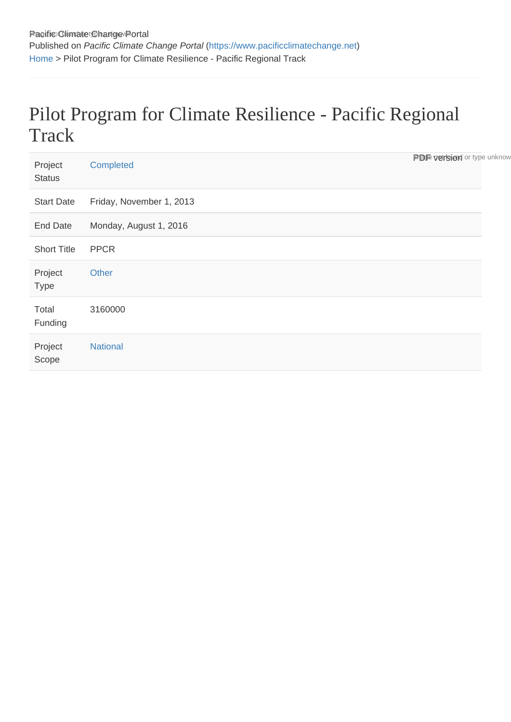## Pilot Program for Climate Resilience - Pacific Regional **Track**

| Project<br><b>Status</b> | Completed                | <b>Proje version</b> or type unknow |
|--------------------------|--------------------------|-------------------------------------|
| <b>Start Date</b>        | Friday, November 1, 2013 |                                     |
| <b>End Date</b>          | Monday, August 1, 2016   |                                     |
| <b>Short Title</b>       | <b>PPCR</b>              |                                     |
| Project<br><b>Type</b>   | Other                    |                                     |
| Total<br>Funding         | 3160000                  |                                     |
| Project<br>Scope         | <b>National</b>          |                                     |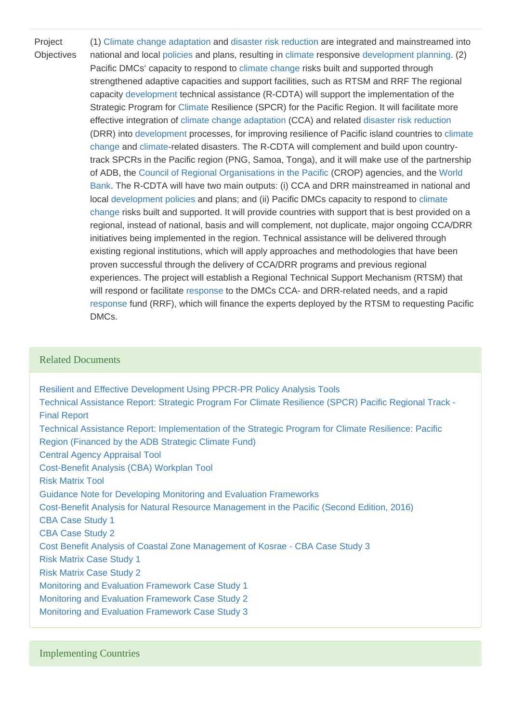Project **Objectives** (1) [Climate change](https://www.pacificclimatechange.net/glossary/letter_c#Climate_Change) [adaptation](https://www.pacificclimatechange.net/glossary/letter_a#Adaptation) and [disaster risk reduction](https://www.pacificclimatechange.net/glossary/letter_d#Disaster_Risk_Reduction) are integrated and mainstreamed into national and local [policies](https://www.pacificclimatechange.net/glossary/letter_p#Policies) and plans, resulting in [climate](https://www.pacificclimatechange.net/glossary/letter_c#Climate) responsive [development](https://www.pacificclimatechange.net/glossary/letter_d#Development) [planning](https://www.pacificclimatechange.net/glossary/letter_p#Planning). (2) Pacific DMCs' capacity to respond to [climate change](https://www.pacificclimatechange.net/glossary/letter_c#Climate_Change) risks built and supported through strengthened adaptive capacities and support facilities, such as RTSM and RRF The regional capacity [development](https://www.pacificclimatechange.net/glossary/letter_d#Development) technical assistance (R-CDTA) will support the implementation of the Strategic Program for [Climate](https://www.pacificclimatechange.net/glossary/letter_c#Climate) Resilience (SPCR) for the Pacific Region. It will facilitate more effective integration of [climate change](https://www.pacificclimatechange.net/glossary/letter_c#Climate_Change) [adaptation](https://www.pacificclimatechange.net/glossary/letter_a#Adaptation) (CCA) and related [disaster risk reduction](https://www.pacificclimatechange.net/glossary/letter_d#Disaster_Risk_Reduction) (DRR) into [development](https://www.pacificclimatechange.net/glossary/letter_d#Development) processes, for improving resilience of Pacific island countries to [climate](https://www.pacificclimatechange.net/glossary/letter_c#Climate_Change)  [change](https://www.pacificclimatechange.net/glossary/letter_c#Climate_Change) and [climate](https://www.pacificclimatechange.net/glossary/letter_c#Climate)-related disasters. The R-CDTA will complement and build upon countrytrack SPCRs in the Pacific region (PNG, Samoa, Tonga), and it will make use of the partnership of ADB, the [Council of Regional Organisations in the Pacific](https://www.pacificclimatechange.net/glossary/letter_c#Council_of_Regional_Organisations_in_the_Pacific) (CROP) agencies, and the [World](https://www.pacificclimatechange.net/glossary/letter_w#World_Bank)  [Bank.](https://www.pacificclimatechange.net/glossary/letter_w#World_Bank) The R-CDTA will have two main outputs: (i) CCA and DRR mainstreamed in national and local [development](https://www.pacificclimatechange.net/glossary/letter_d#Development) [policies](https://www.pacificclimatechange.net/glossary/letter_p#Policies) and plans; and (ii) Pacific DMCs capacity to respond to [climate](https://www.pacificclimatechange.net/glossary/letter_c#Climate_Change)  [change](https://www.pacificclimatechange.net/glossary/letter_c#Climate_Change) risks built and supported. It will provide countries with support that is best provided on a regional, instead of national, basis and will complement, not duplicate, major ongoing CCA/DRR initiatives being implemented in the region. Technical assistance will be delivered through existing regional institutions, which will apply approaches and methodologies that have been proven successful through the delivery of CCA/DRR programs and previous regional experiences. The project will establish a Regional Technical Support Mechanism (RTSM) that will respond or facilitate [response](https://www.pacificclimatechange.net/glossary/letter_r#Response) to the DMCs CCA- and DRR-related needs, and a rapid [response](https://www.pacificclimatechange.net/glossary/letter_r#Response) fund (RRF), which will finance the experts deployed by the RTSM to requesting Pacific DMCs.

## Related Documents

[Resilient and Effective Development Using PPCR-PR Policy Analysis Tools](https://www.pacificclimatechange.net/node/24015) [Technical Assistance Report: Strategic Program For Climate Resilience \(SPCR\) Pacific Regional Track -](https://www.pacificclimatechange.net/node/24206)  [Final Report](https://www.pacificclimatechange.net/node/24206) [Technical Assistance Report: Implementation of the Strategic Program for Climate Resilience: Pacific](https://www.pacificclimatechange.net/node/24207)  [Region \(Financed by the ADB Strategic Climate Fund\)](https://www.pacificclimatechange.net/node/24207)  [Central Agency Appraisal Tool](https://www.pacificclimatechange.net/node/23941) [Cost-Benefit Analysis \(CBA\) Workplan Tool](https://www.pacificclimatechange.net/node/23942) [Risk Matrix Tool](https://www.pacificclimatechange.net/node/23943) [Guidance Note for Developing Monitoring and Evaluation Frameworks](https://www.pacificclimatechange.net/node/23944) [Cost-Benefit Analysis for Natural Resource Management in the Pacific \(Second Edition, 2016\)](https://www.pacificclimatechange.net/node/23945) [CBA Case Study 1](https://www.pacificclimatechange.net/node/23946) [CBA Case Study 2](https://www.pacificclimatechange.net/node/23947) [Cost Benefit Analysis of Coastal Zone Management of Kosrae - CBA Case Study 3](https://www.pacificclimatechange.net/node/23948) [Risk Matrix Case Study 1](https://www.pacificclimatechange.net/node/23949) [Risk Matrix Case Study 2](https://www.pacificclimatechange.net/node/23950) [Monitoring and Evaluation Framework Case Study 1](https://www.pacificclimatechange.net/node/23951) [Monitoring and Evaluation Framework Case Study 2](https://www.pacificclimatechange.net/node/23952) [Monitoring and Evaluation Framework Case Study 3](https://www.pacificclimatechange.net/node/23953)

Implementing Countries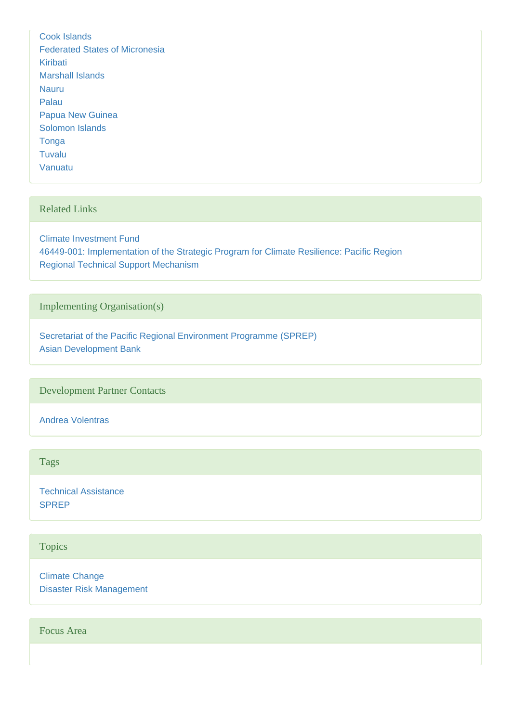[Cook Islands](https://www.pacificclimatechange.net/node/9481) [Federated States of Micronesia](https://www.pacificclimatechange.net/node/9482) [Kiribati](https://www.pacificclimatechange.net/node/52) [Marshall Islands](https://www.pacificclimatechange.net/node/53) [Nauru](https://www.pacificclimatechange.net/node/54) [Palau](https://www.pacificclimatechange.net/node/57) [Papua New Guinea](https://www.pacificclimatechange.net/node/58) [Solomon Islands](https://www.pacificclimatechange.net/node/59) [Tonga](https://www.pacificclimatechange.net/node/61) [Tuvalu](https://www.pacificclimatechange.net/node/62) [Vanuatu](https://www.pacificclimatechange.net/node/63)

## Related Links

[Climate Investment Fund](https://www.climateinvestmentfunds.org/cif/) [46449-001: Implementation of the Strategic Program for Climate Resilience: Pacific Region](http://adb.org/projects/details?proj_id=46449-001&page=overview) [Regional Technical Support Mechanism](http://rtsm.pacificclimatechange.net/)

Implementing Organisation(s)

[Secretariat of the Pacific Regional Environment Programme \(SPREP\)](https://www.pacificclimatechange.net/node/9478) [Asian Development Bank](https://www.pacificclimatechange.net/node/66)

Development Partner Contacts

[Andrea Volentras](https://www.pacificclimatechange.net/node/9570)

Tags

[Technical Assistance](https://www.pacificclimatechange.net/projects?f[0]=field_tags:2006) [SPREP](https://www.pacificclimatechange.net/projects?f[0]=field_tags:1283)

**Topics** 

[Climate Change](https://www.pacificclimatechange.net/projects?f[0]=field_topics:2) [Disaster Risk Management](https://www.pacificclimatechange.net/projects?f[0]=field_topics:4)

Focus Area